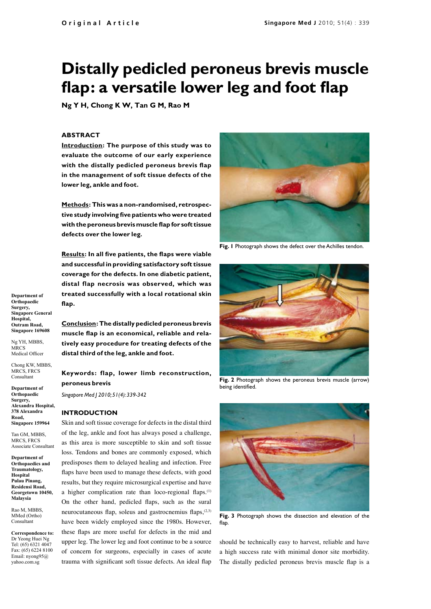# **Distally pedicled peroneus brevis muscle flap: a versatile lower leg and foot flap**

**Ng Y H, Chong K W, Tan G M, Rao M**

#### **ABSTRACT**

**Introduction: The purpose of this study was to evaluate the outcome of our early experience with the distally pedicled peroneus brevis flap in the management of soft tissue defects of the lower leg, ankle and foot.**

**Methods: This was a non-randomised, retrospective study involving five patients who were treated with the peroneus brevis muscle flap for soft tissue defects over the lower leg.** 

**Results: In all five patients, the flaps were viable and successful in providing satisfactory soft tissue coverage for the defects. In one diabetic patient, distal flap necrosis was observed, which was treated successfully with a local rotational skin flap.**

**Conclusion: The distally pedicled peroneus brevis muscle flap is an economical, reliable and relatively easy procedure for treating defects of the distal third of the leg, ankle and foot.**

**Keywords: flap, lower limb reconstruction, peroneus brevis**

*Singapore Med J 2010; 51(4): 339-342*

#### **INTRODUCTION**

Skin and soft tissue coverage for defects in the distal third of the leg, ankle and foot has always posed a challenge, as this area is more susceptible to skin and soft tissue loss. Tendons and bones are commonly exposed, which predisposes them to delayed healing and infection. Free flaps have been used to manage these defects, with good results, but they require microsurgical expertise and have a higher complication rate than loco-regional flaps.<sup>(1)</sup> On the other hand, pedicled flaps, such as the sural neurocutaneous flap, soleus and gastrocnemius flaps, $(2,3)$ have been widely employed since the 1980s. However, these flaps are more useful for defects in the mid and upper leg. The lower leg and foot continue to be a source of concern for surgeons, especially in cases of acute trauma with significant soft tissue defects. An ideal flap



**Fig. 1** Photograph shows the defect over the Achilles tendon.



**Fig. 2** Photograph shows the peroneus brevis muscle (arrow) being identified.



**Fig. 3** Photograph shows the dissection and elevation of the flap.

should be technically easy to harvest, reliable and have a high success rate with minimal donor site morbidity. The distally pedicled peroneus brevis muscle flap is a

**Department of Orthopaedic Surgery, Singapore General Hospital, Outram Road, Singapore 169608**

Ng YH, MBBS, **MRCS** Medical Officer

Chong KW, MBBS, MRCS, FRCS Consultant

**Department of Orthopaedic Surgery, Alexandra Hospital, 378 Alexandra Road, Singapore 159964**

Tan GM, MBBS, MRCS, FRCS Associate Consultant

**Department of Orthopaedics and Traumatology, Hospital Pulau Pinang, Residensi Road, Georgetown 10450, Malaysia** 

Rao M, MBBS, MMed (Ortho) Consultant

**Correspondence to:** Dr Yeong Huei Ng Tel: (65) 6321 4047 Fax: (65) 6224 8100 Email: nyong95@ yahoo.com.sg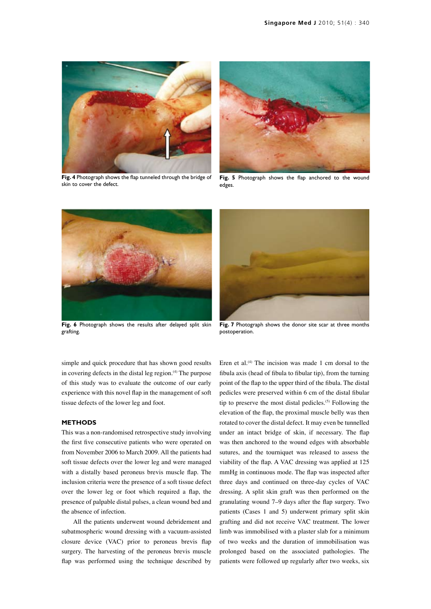

**Fig. 4** Photograph shows the flap tunneled through the bridge of skin to cover the defect.



**Fig. 5** Photograph shows the flap anchored to the wound edges.



**Fig. 6** Photograph shows the results after delayed split skin grafting.



**Fig. 7** Photograph shows the donor site scar at three months postoperation.

simple and quick procedure that has shown good results in covering defects in the distal leg region.<sup>(4)</sup> The purpose of this study was to evaluate the outcome of our early experience with this novel flap in the management of soft tissue defects of the lower leg and foot.

## **METHODS**

This was a non-randomised retrospective study involving the first five consecutive patients who were operated on from November 2006 to March 2009. All the patients had soft tissue defects over the lower leg and were managed with a distally based peroneus brevis muscle flap. The inclusion criteria were the presence of a soft tissue defect over the lower leg or foot which required a flap, the presence of palpable distal pulses, a clean wound bed and the absence of infection.

All the patients underwent wound debridement and subatmospheric wound dressing with a vacuum-assisted closure device (VAC) prior to peroneus brevis flap surgery. The harvesting of the peroneus brevis muscle flap was performed using the technique described by

Eren et al. $(4)$  The incision was made 1 cm dorsal to the fibula axis (head of fibula to fibular tip), from the turning point of the flap to the upper third of the fibula. The distal pedicles were preserved within 6 cm of the distal fibular tip to preserve the most distal pedicles.<sup>(5)</sup> Following the elevation of the flap, the proximal muscle belly was then rotated to cover the distal defect. It may even be tunnelled under an intact bridge of skin, if necessary. The flap was then anchored to the wound edges with absorbable sutures, and the tourniquet was released to assess the viability of the flap. A VAC dressing was applied at 125 mmHg in continuous mode. The flap was inspected after three days and continued on three-day cycles of VAC dressing. A split skin graft was then performed on the granulating wound 7–9 days after the flap surgery. Two patients (Cases 1 and 5) underwent primary split skin grafting and did not receive VAC treatment. The lower limb was immobilised with a plaster slab for a minimum of two weeks and the duration of immobilisation was prolonged based on the associated pathologies. The patients were followed up regularly after two weeks, six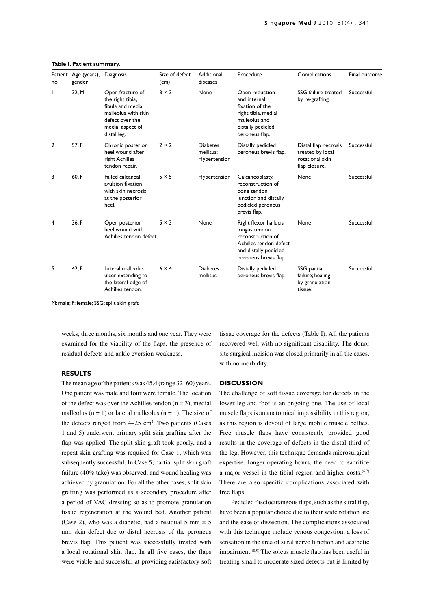| no.            | Patient Age (years),<br>gender | Diagnosis                                                                                                                              | Size of defect<br>(cm) | Additional<br>diseases                       | Procedure                                                                                                                               | Complications                                                                | Final outcome |
|----------------|--------------------------------|----------------------------------------------------------------------------------------------------------------------------------------|------------------------|----------------------------------------------|-----------------------------------------------------------------------------------------------------------------------------------------|------------------------------------------------------------------------------|---------------|
| L              | 32, M                          | Open fracture of<br>the right tibia,<br>fibula and medial<br>malleolus with skin<br>defect over the<br>medial aspect of<br>distal leg. | $3 \times 3$           | None                                         | Open reduction<br>and internal<br>fixation of the<br>right tibia, medial<br>malleolus and<br>distally pedicled<br>peroneus flap.        | SSG failure treated<br>by re-grafting.                                       | Successful    |
| $\overline{2}$ | 57, F                          | Chronic posterior<br>heel wound after<br>right Achilles<br>tendon repair.                                                              | $2 \times 2$           | <b>Diabetes</b><br>mellitus:<br>Hypertension | Distally pedicled<br>peroneus brevis flap.                                                                                              | Distal flap necrosis<br>treated by local<br>rotational skin<br>flap closure. | Successful    |
| 3              | 60, F                          | Failed calcaneal<br>avulsion fixation<br>with skin necrosis<br>at the posterior<br>heel.                                               | $5 \times 5$           | Hypertension                                 | Calcaneoplasty,<br>reconstruction of<br>bone tendon<br>junction and distally<br>pedicled peroneus<br>brevis flap.                       | None                                                                         | Successful    |
| 4              | 36, F                          | Open posterior<br>heel wound with<br>Achilles tendon defect.                                                                           | $5 \times 3$           | None                                         | Right flexor hallucis<br>longus tendon<br>reconstruction of<br>Achilles tendon defect<br>and distally pedicled<br>peroneus brevis flap. | None                                                                         | Successful    |
| 5              | 42, F                          | Lateral malleolus<br>ulcer extending to<br>the lateral edge of<br>Achilles tendon.                                                     | $6 \times 4$           | <b>Diabetes</b><br>mellitus                  | Distally pedicled<br>peroneus brevis flap.                                                                                              | SSG partial<br>failure; healing<br>by granulation<br>tissue.                 | Successful    |

#### **Table I. Patient summary.**

M: male; F: female; SSG: split skin graft

weeks, three months, six months and one year. They were examined for the viability of the flaps, the presence of residual defects and ankle eversion weakness.

## **RESULTS**

The mean age of the patients was 45.4 (range 32–60) years. One patient was male and four were female. The location of the defect was over the Achilles tendon  $(n = 3)$ , medial malleolus ( $n = 1$ ) or lateral malleolus ( $n = 1$ ). The size of the defects ranged from  $4-25$  cm<sup>2</sup>. Two patients (Cases 1 and 5) underwent primary split skin grafting after the flap was applied. The split skin graft took poorly, and a repeat skin grafting was required for Case 1, which was subsequently successful. In Case 5, partial split skin graft failure (40% take) was observed, and wound healing was achieved by granulation. For all the other cases, split skin grafting was performed as a secondary procedure after a period of VAC dressing so as to promote granulation tissue regeneration at the wound bed. Another patient (Case 2), who was a diabetic, had a residual 5 mm  $\times$  5 mm skin defect due to distal necrosis of the peroneus brevis flap. This patient was successfully treated with a local rotational skin flap. In all five cases, the flaps were viable and successful at providing satisfactory soft

tissue coverage for the defects (Table I). All the patients recovered well with no significant disability. The donor site surgical incision was closed primarily in all the cases, with no morbidity.

### **DISCUSSION**

The challenge of soft tissue coverage for defects in the lower leg and foot is an ongoing one. The use of local muscle flaps is an anatomical impossibility in this region, as this region is devoid of large mobile muscle bellies. Free muscle flaps have consistently provided good results in the coverage of defects in the distal third of the leg. However, this technique demands microsurgical expertise, longer operating hours, the need to sacrifice a major vessel in the tibial region and higher costs. $(6,7)$ There are also specific complications associated with free flaps.

Pedicled fasciocutaneous flaps, such as the sural flap, have been a popular choice due to their wide rotation arc and the ease of dissection. The complications associated with this technique include venous congestion, a loss of sensation in the area of sural nerve function and aesthetic impairment.<sup>(8,9)</sup> The soleus muscle flap has been useful in treating small to moderate sized defects but is limited by